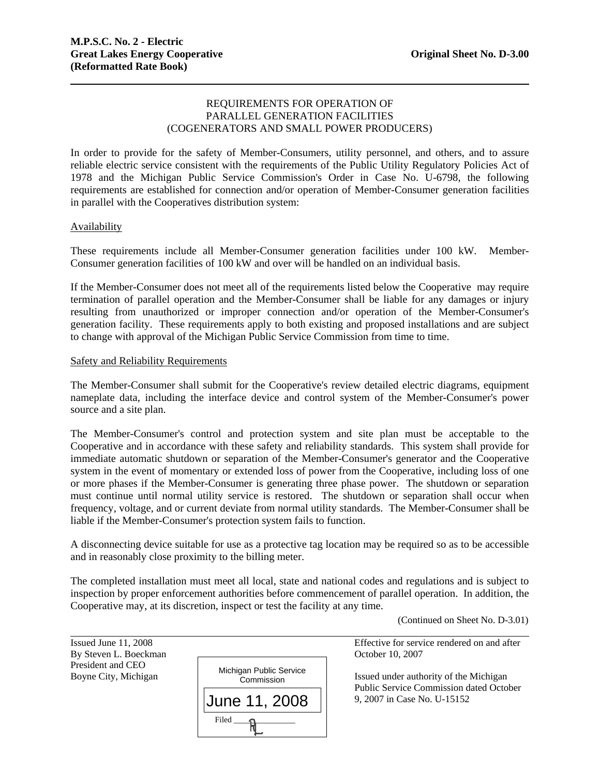# REQUIREMENTS FOR OPERATION OF PARALLEL GENERATION FACILITIES (COGENERATORS AND SMALL POWER PRODUCERS)

In order to provide for the safety of Member-Consumers, utility personnel, and others, and to assure reliable electric service consistent with the requirements of the Public Utility Regulatory Policies Act of 1978 and the Michigan Public Service Commission's Order in Case No. U-6798, the following requirements are established for connection and/or operation of Member-Consumer generation facilities in parallel with the Cooperatives distribution system:

### Availability

These requirements include all Member-Consumer generation facilities under 100 kW. Member-Consumer generation facilities of 100 kW and over will be handled on an individual basis.

If the Member-Consumer does not meet all of the requirements listed below the Cooperative may require termination of parallel operation and the Member-Consumer shall be liable for any damages or injury resulting from unauthorized or improper connection and/or operation of the Member-Consumer's generation facility. These requirements apply to both existing and proposed installations and are subject to change with approval of the Michigan Public Service Commission from time to time.

#### Safety and Reliability Requirements

The Member-Consumer shall submit for the Cooperative's review detailed electric diagrams, equipment nameplate data, including the interface device and control system of the Member-Consumer's power source and a site plan.

The Member-Consumer's control and protection system and site plan must be acceptable to the Cooperative and in accordance with these safety and reliability standards. This system shall provide for immediate automatic shutdown or separation of the Member-Consumer's generator and the Cooperative system in the event of momentary or extended loss of power from the Cooperative, including loss of one or more phases if the Member-Consumer is generating three phase power. The shutdown or separation must continue until normal utility service is restored. The shutdown or separation shall occur when frequency, voltage, and or current deviate from normal utility standards. The Member-Consumer shall be liable if the Member-Consumer's protection system fails to function.

A disconnecting device suitable for use as a protective tag location may be required so as to be accessible and in reasonably close proximity to the billing meter.

The completed installation must meet all local, state and national codes and regulations and is subject to inspection by proper enforcement authorities before commencement of parallel operation. In addition, the Cooperative may, at its discretion, inspect or test the facility at any time.

(Continued on Sheet No. D-3.01)

l Issued June 11, 2008 Effective for service rendered on and after By Steven L. Boeckman October 10, 2007 President and CEO Boyne City, Michigan **Issued under authority of the Michigan** Public Service Commission dated October 9, 2007 in Case No. U-15152 Michigan Public Service **Commission** Filed \_\_\_\_\_\_\_\_\_\_\_\_\_\_\_ June 11, 2008